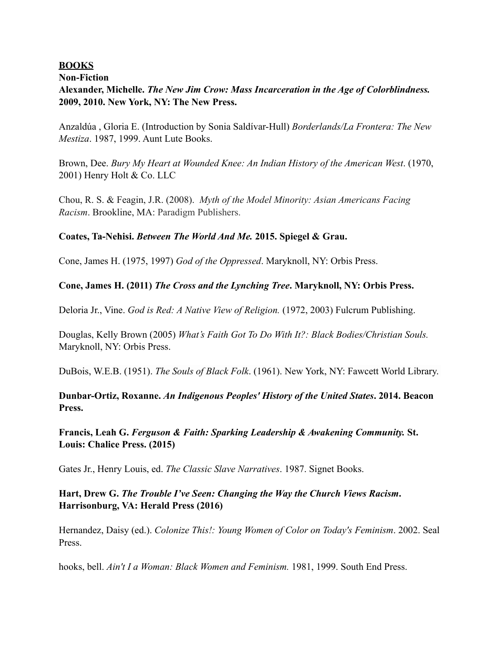### **BOOKS**

#### **Non-Fiction**

## **Alexander, Michelle.** *The New Jim Crow: Mass Incarceration in the Age of Colorblindness.* **2009, 2010. New York, NY: The New Press.**

Anzaldúa , Gloria E. (Introduction by Sonia Saldívar-Hull) *Borderlands/La Frontera: The New Mestiza*. 1987, 1999. Aunt Lute Books.

Brown, Dee. *Bury My Heart at Wounded Knee: An Indian History of the American West*. (1970, 2001) Henry Holt & Co. LLC

Chou, R. S. & Feagin, J.R. (2008). *Myth of the Model Minority: Asian Americans Facing Racism*. Brookline, MA: Paradigm Publishers.

### **Coates, Ta-Nehisi.** *Between The World And Me.* **2015. Spiegel & Grau.**

Cone, James H. (1975, 1997) *God of the Oppressed*. Maryknoll, NY: Orbis Press.

### **Cone, James H. (2011)** *The Cross and the Lynching Tree***. Maryknoll, NY: Orbis Press.**

Deloria Jr., Vine. *God is Red: A Native View of Religion.* (1972, 2003) Fulcrum Publishing.

Douglas, Kelly Brown (2005) *What's Faith Got To Do With It?: Black Bodies/Christian Souls.* Maryknoll, NY: Orbis Press.

DuBois, W.E.B. (1951). *The Souls of Black Folk*. (1961). New York, NY: Fawcett World Library.

### **Dunbar-Ortiz, Roxanne.** *An Indigenous Peoples' History of the United States***. 2014. Beacon Press.**

**Francis, Leah G.** *Ferguson & Faith: Sparking Leadership & Awakening Community.* **St. Louis: Chalice Press. (2015)** 

Gates Jr., Henry Louis, ed. *The Classic Slave Narratives*. 1987. Signet Books.

### **Hart, Drew G.** *The Trouble I've Seen: Changing the Way the Church Views Racism***. Harrisonburg, VA: Herald Press (2016)**

Hernandez, Daisy (ed.). *Colonize This!: Young Women of Color on Today's Feminism*. 2002. Seal Press.

hooks, bell. *Ain't I a Woman: Black Women and Feminism.* 1981, 1999. South End Press.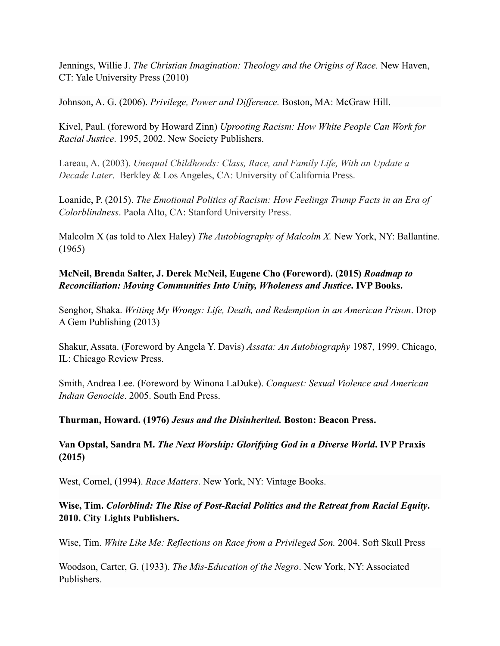Jennings, Willie J. *The Christian Imagination: Theology and the Origins of Race.* New Haven, CT: Yale University Press (2010)

Johnson, A. G. (2006). *Privilege, Power and Difference.* Boston, MA: McGraw Hill.

Kivel, Paul. (foreword by Howard Zinn) *Uprooting Racism: How White People Can Work for Racial Justice*. 1995, 2002. New Society Publishers.

Lareau, A. (2003). *Unequal Childhoods: Class, Race, and Family Life, With an Update a Decade Later*. Berkley & Los Angeles, CA: University of California Press.

Loanide, P. (2015). *The Emotional Politics of Racism: How Feelings Trump Facts in an Era of Colorblindness*. Paola Alto, CA: Stanford University Press.

Malcolm X (as told to Alex Haley) *The Autobiography of Malcolm X.* New York, NY: Ballantine. (1965)

## **McNeil, Brenda Salter, J. Derek McNeil, Eugene Cho (Foreword). (2015)** *Roadmap to Reconciliation: Moving Communities Into Unity, Wholeness and Justice***. IVP Books.**

Senghor, Shaka. *Writing My Wrongs: Life, Death, and Redemption in an American Prison*. Drop A Gem Publishing (2013)

Shakur, Assata. (Foreword by Angela Y. Davis) *Assata: An Autobiography* 1987, 1999. Chicago, IL: Chicago Review Press.

Smith, Andrea Lee. (Foreword by Winona LaDuke). *Conquest: Sexual Violence and American Indian Genocide*. 2005. South End Press.

**Thurman, Howard. (1976)** *Jesus and the Disinherited.* **Boston: Beacon Press.** 

**Van Opstal, Sandra M.** *The Next Worship: Glorifying God in a Diverse World***. IVP Praxis (2015)** 

West, Cornel, (1994). *Race Matters*. New York, NY: Vintage Books.

**Wise, Tim.** *Colorblind: The Rise of Post-Racial Politics and the Retreat from Racial Equity***. 2010. City Lights Publishers.** 

Wise, Tim. *White Like Me: Reflections on Race from a Privileged Son.* 2004. Soft Skull Press

Woodson, Carter, G. (1933). *The Mis-Education of the Negro*. New York, NY: Associated Publishers.